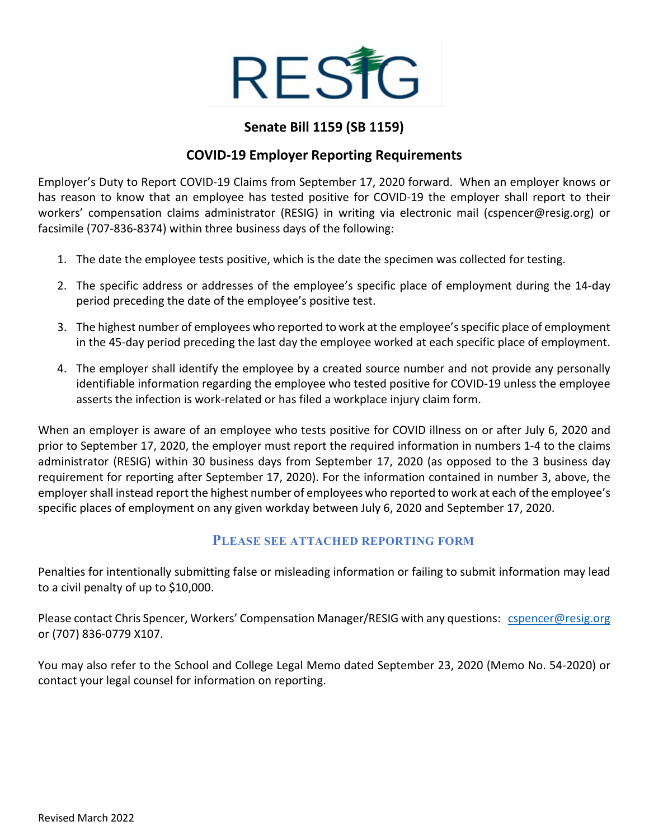

## **Senate Bill 1159 (SB 1159)**

### **COVID-19 Employer Reporting Requirements**

Employer's Duty to Report COVID-19 Claims from September 17, 2020 forward. When an employer knows or has reason to know that an employee has tested positive for COVID-19 the employer shall report to their workers' compensation claims administrator (RESIG) in writing via electronic mail (cspencer@resig.org) or facsimile (707-836-8374) within three business days of the following:

- 1. The date the employee tests positive, which is the date the specimen was collected for testing.
- 2. The specific address or addresses of the employee's specific place of employment during the 14-day period preceding the date of the employee's positive test.
- 3. The highest number of employees who reported to work at the employee's specific place of employment in the 45-day period preceding the last day the employee worked at each specific place of employment.
- 4. The employer shall identify the employee by a created source number and not provide any personally identifiable information regarding the employee who tested positive for COVID-19 unless the employee asserts the infection is work-related or has filed a workplace injury claim form.

When an employer is aware of an employee who tests positive for COVID illness on or after July 6, 2020 and prior to September 17, 2020, the employer must report the required information in numbers 1-4 to the claims administrator (RESIG) within 30 business days from September 17, 2020 (as opposed to the 3 business day requirement for reporting after September 17, 2020). For the information contained in number 3, above, the employer shall instead report the highest number of employees who reported to work at each of the employee's specific places of employment on any given workday between July 6, 2020 and September 17, 2020.

#### **PLEASE SEE ATTACHED REPORTING FORM**

Penalties for intentionally submitting false or misleading information or failing to submit information may lead to a civil penalty of up to \$10,000.

Please contact Chris Spencer, Workers' Compensation Manager/RESIG with any questions: [cspencer@resig.org](mailto:cspencer@resig.org) or (707) 836-0779 X107.

You may also refer to the School and College Legal Memo dated September 23, 2020 (Memo No. 54-2020) or contact your legal counsel for information on reporting.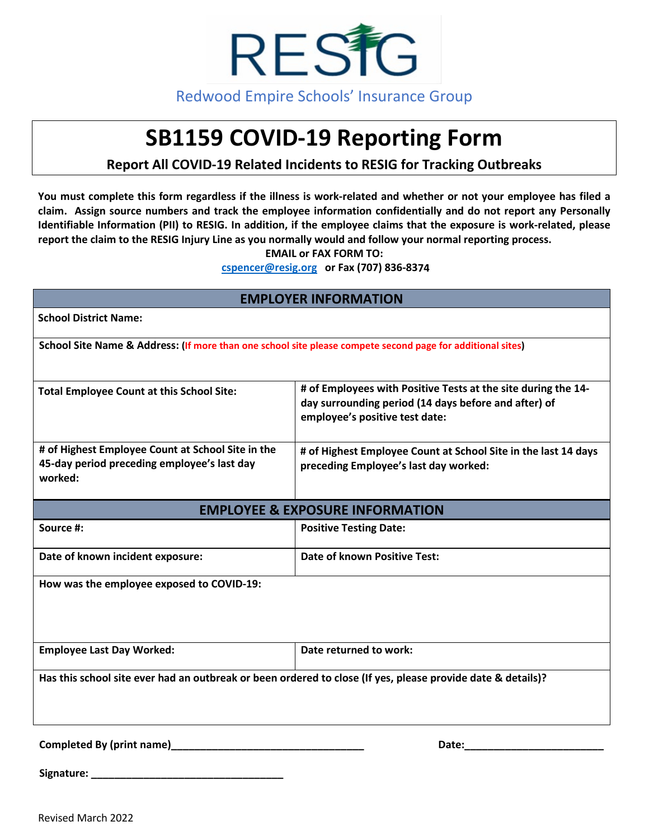

# **SB1159 COVID-19 Reporting Form**

# **Report All COVID-19 Related Incidents to RESIG for Tracking Outbreaks**

**You must complete this form regardless if the illness is work-related and whether or not your employee has filed a claim. Assign source numbers and track the employee information confidentially and do not report any Personally Identifiable Information (PII) to RESIG. In addition, if the employee claims that the exposure is work-related, please report the claim to the RESIG Injury Line as you normally would and follow your normal reporting process.** 

**EMAIL or FAX FORM TO:**

**[cspencer@resig.org](mailto:cspencer@resig.org) or Fax (707) 836-8374**

| <b>EMPLOYER INFORMATION</b>                                                                                 |                                                                                                                                                         |  |
|-------------------------------------------------------------------------------------------------------------|---------------------------------------------------------------------------------------------------------------------------------------------------------|--|
| <b>School District Name:</b>                                                                                |                                                                                                                                                         |  |
| School Site Name & Address: (If more than one school site please compete second page for additional sites)  |                                                                                                                                                         |  |
| <b>Total Employee Count at this School Site:</b>                                                            | # of Employees with Positive Tests at the site during the 14-<br>day surrounding period (14 days before and after) of<br>employee's positive test date: |  |
| # of Highest Employee Count at School Site in the<br>45-day period preceding employee's last day<br>worked: | # of Highest Employee Count at School Site in the last 14 days<br>preceding Employee's last day worked:                                                 |  |
| <b>EMPLOYEE &amp; EXPOSURE INFORMATION</b>                                                                  |                                                                                                                                                         |  |
| Source #:                                                                                                   | <b>Positive Testing Date:</b>                                                                                                                           |  |
| Date of known incident exposure:                                                                            | <b>Date of known Positive Test:</b>                                                                                                                     |  |
| How was the employee exposed to COVID-19:                                                                   |                                                                                                                                                         |  |
| <b>Employee Last Day Worked:</b>                                                                            | Date returned to work:                                                                                                                                  |  |
| Has this school site ever had an outbreak or been ordered to close (If yes, please provide date & details)? |                                                                                                                                                         |  |
| Completed By (print name)                                                                                   | Date:                                                                                                                                                   |  |

**Signature: \_\_\_\_\_\_\_\_\_\_\_\_\_\_\_\_\_\_\_\_\_\_\_\_\_\_\_\_\_\_\_\_\_** 

Revised March 2022